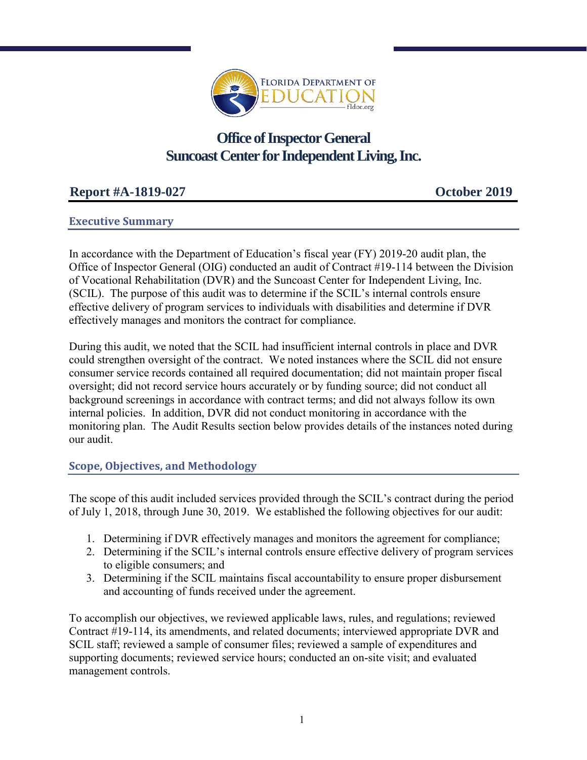

# **Office of Inspector General Suncoast Center for Independent Living, Inc.**

# **Report #A-1819-027 October 2019**

## **Executive Summary**

In accordance with the Department of Education's fiscal year (FY) 2019-20 audit plan, the Office of Inspector General (OIG) conducted an audit of Contract #19-114 between the Division of Vocational Rehabilitation (DVR) and the Suncoast Center for Independent Living, Inc. (SCIL). The purpose of this audit was to determine if the SCIL's internal controls ensure effective delivery of program services to individuals with disabilities and determine if DVR effectively manages and monitors the contract for compliance.

During this audit, we noted that the SCIL had insufficient internal controls in place and DVR could strengthen oversight of the contract. We noted instances where the SCIL did not ensure consumer service records contained all required documentation; did not maintain proper fiscal oversight; did not record service hours accurately or by funding source; did not conduct all background screenings in accordance with contract terms; and did not always follow its own internal policies. In addition, DVR did not conduct monitoring in accordance with the monitoring plan. The Audit Results section below provides details of the instances noted during our audit.

### **Scope, Objectives, and Methodology**

The scope of this audit included services provided through the SCIL's contract during the period of July 1, 2018, through June 30, 2019. We established the following objectives for our audit:

- 1. Determining if DVR effectively manages and monitors the agreement for compliance;
- 2. Determining if the SCIL's internal controls ensure effective delivery of program services to eligible consumers; and
- 3. Determining if the SCIL maintains fiscal accountability to ensure proper disbursement and accounting of funds received under the agreement.

To accomplish our objectives, we reviewed applicable laws, rules, and regulations; reviewed Contract #19-114, its amendments, and related documents; interviewed appropriate DVR and SCIL staff; reviewed a sample of consumer files; reviewed a sample of expenditures and supporting documents; reviewed service hours; conducted an on-site visit; and evaluated management controls.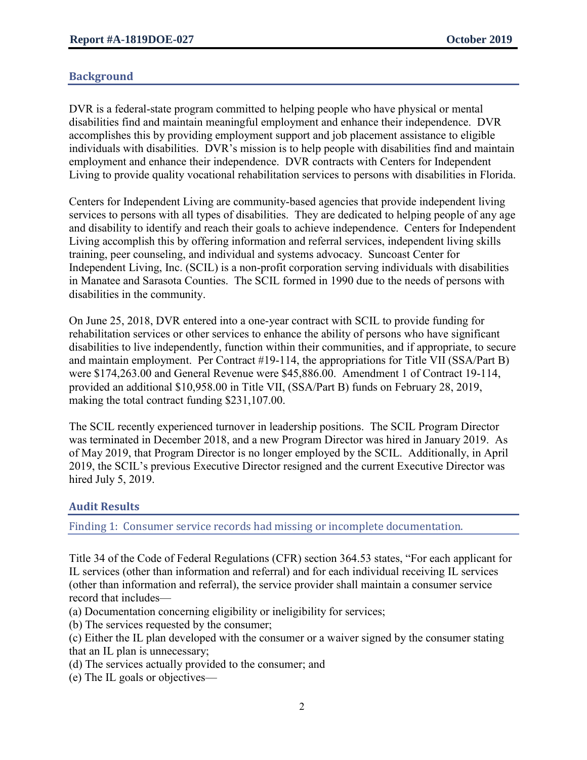## **Background**

DVR is a federal-state program committed to helping people who have physical or mental disabilities find and maintain meaningful employment and enhance their independence. DVR accomplishes this by providing employment support and job placement assistance to eligible individuals with disabilities. DVR's mission is to help people with disabilities find and maintain employment and enhance their independence. DVR contracts with Centers for Independent Living to provide quality vocational rehabilitation services to persons with disabilities in Florida.

Centers for Independent Living are community-based agencies that provide independent living services to persons with all types of disabilities. They are dedicated to helping people of any age and disability to identify and reach their goals to achieve independence. Centers for Independent Living accomplish this by offering information and referral services, independent living skills training, peer counseling, and individual and systems advocacy. Suncoast Center for Independent Living, Inc. (SCIL) is a non-profit corporation serving individuals with disabilities in Manatee and Sarasota Counties. The SCIL formed in 1990 due to the needs of persons with disabilities in the community.

On June 25, 2018, DVR entered into a one-year contract with SCIL to provide funding for rehabilitation services or other services to enhance the ability of persons who have significant disabilities to live independently, function within their communities, and if appropriate, to secure and maintain employment. Per Contract #19-114, the appropriations for Title VII (SSA/Part B) were \$174,263.00 and General Revenue were \$45,886.00. Amendment 1 of Contract 19-114, provided an additional \$10,958.00 in Title VII, (SSA/Part B) funds on February 28, 2019, making the total contract funding \$231,107.00.

The SCIL recently experienced turnover in leadership positions. The SCIL Program Director was terminated in December 2018, and a new Program Director was hired in January 2019. As of May 2019, that Program Director is no longer employed by the SCIL. Additionally, in April 2019, the SCIL's previous Executive Director resigned and the current Executive Director was hired July 5, 2019.

### **Audit Results**

Finding 1: Consumer service records had missing or incomplete documentation.

Title 34 of the Code of Federal Regulations (CFR) section 364.53 states, "For each applicant for IL services (other than information and referral) and for each individual receiving IL services (other than information and referral), the service provider shall maintain a consumer service record that includes—

- (a) Documentation concerning eligibility or ineligibility for services;
- (b) The services requested by the consumer;
- (c) Either the IL plan developed with the consumer or a waiver signed by the consumer stating that an IL plan is unnecessary;
- (d) The services actually provided to the consumer; and
- (e) The IL goals or objectives—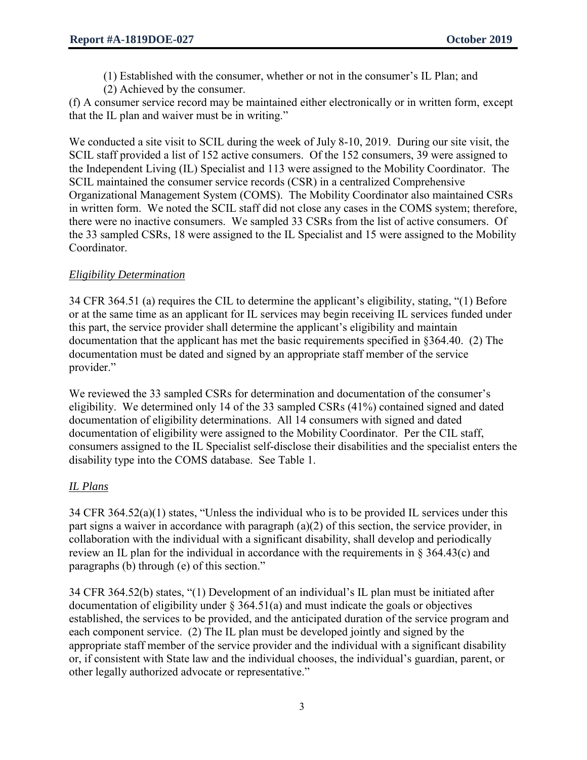(1) Established with the consumer, whether or not in the consumer's IL Plan; and

(2) Achieved by the consumer.

(f) A consumer service record may be maintained either electronically or in written form, except that the IL plan and waiver must be in writing."

We conducted a site visit to SCIL during the week of July 8-10, 2019. During our site visit, the SCIL staff provided a list of 152 active consumers. Of the 152 consumers, 39 were assigned to the Independent Living (IL) Specialist and 113 were assigned to the Mobility Coordinator. The SCIL maintained the consumer service records (CSR) in a centralized Comprehensive Organizational Management System (COMS). The Mobility Coordinator also maintained CSRs in written form. We noted the SCIL staff did not close any cases in the COMS system; therefore, there were no inactive consumers. We sampled 33 CSRs from the list of active consumers. Of the 33 sampled CSRs, 18 were assigned to the IL Specialist and 15 were assigned to the Mobility Coordinator.

## *Eligibility Determination*

34 CFR 364.51 (a) requires the CIL to determine the applicant's eligibility, stating, "(1) Before or at the same time as an applicant for IL services may begin receiving IL services funded under this part, the service provider shall determine the applicant's eligibility and maintain documentation that the applicant has met the basic requirements specified in §364.40. (2) The documentation must be dated and signed by an appropriate staff member of the service provider."

We reviewed the 33 sampled CSRs for determination and documentation of the consumer's eligibility. We determined only 14 of the 33 sampled CSRs (41%) contained signed and dated documentation of eligibility determinations. All 14 consumers with signed and dated documentation of eligibility were assigned to the Mobility Coordinator. Per the CIL staff, consumers assigned to the IL Specialist self-disclose their disabilities and the specialist enters the disability type into the COMS database. See Table 1.

## *IL Plans*

34 CFR 364.52(a)(1) states, "Unless the individual who is to be provided IL services under this part signs a waiver in accordance with paragraph (a)(2) of this section, the service provider, in collaboration with the individual with a significant disability, shall develop and periodically review an IL plan for the individual in accordance with the requirements in § 364.43(c) and paragraphs (b) through (e) of this section."

34 CFR 364.52(b) states, "(1) Development of an individual's IL plan must be initiated after documentation of eligibility under  $\S$  364.51(a) and must indicate the goals or objectives established, the services to be provided, and the anticipated duration of the service program and each component service. (2) The IL plan must be developed jointly and signed by the appropriate staff member of the service provider and the individual with a significant disability or, if consistent with State law and the individual chooses, the individual's guardian, parent, or other legally authorized advocate or representative."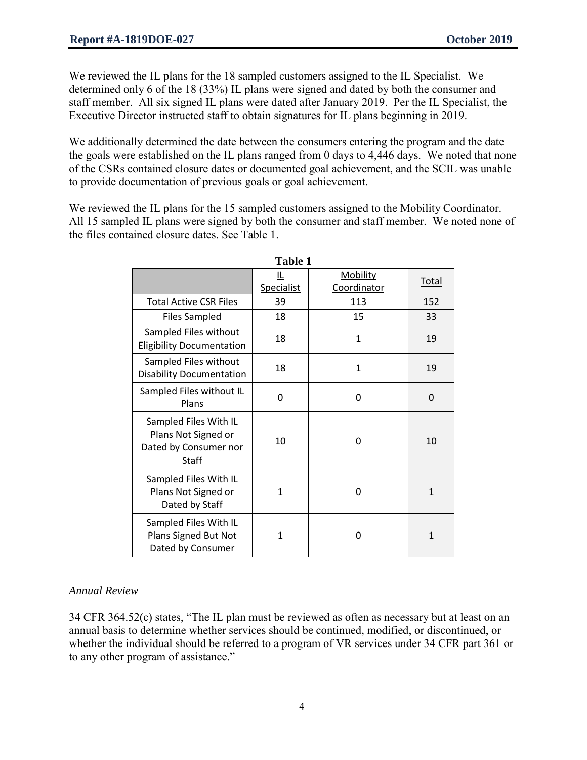We reviewed the IL plans for the 18 sampled customers assigned to the IL Specialist. We determined only 6 of the 18 (33%) IL plans were signed and dated by both the consumer and staff member. All six signed IL plans were dated after January 2019. Per the IL Specialist, the Executive Director instructed staff to obtain signatures for IL plans beginning in 2019.

We additionally determined the date between the consumers entering the program and the date the goals were established on the IL plans ranged from 0 days to 4,446 days. We noted that none of the CSRs contained closure dates or documented goal achievement, and the SCIL was unable to provide documentation of previous goals or goal achievement.

We reviewed the IL plans for the 15 sampled customers assigned to the Mobility Coordinator. All 15 sampled IL plans were signed by both the consumer and staff member. We noted none of the files contained closure dates. See Table 1.

| Table 1                                                                               |                 |                         |              |
|---------------------------------------------------------------------------------------|-----------------|-------------------------|--------------|
|                                                                                       | Щ<br>Specialist | Mobility<br>Coordinator | <b>Total</b> |
| <b>Total Active CSR Files</b>                                                         | 39              | 113                     | 152          |
| <b>Files Sampled</b>                                                                  | 18              | 15                      | 33           |
| Sampled Files without<br><b>Eligibility Documentation</b>                             | 18              | $\mathbf{1}$            | 19           |
| Sampled Files without<br><b>Disability Documentation</b>                              | 18              | $\mathbf{1}$            | 19           |
| Sampled Files without IL<br>Plans                                                     | 0               | 0                       | $\Omega$     |
| Sampled Files With IL<br>Plans Not Signed or<br>Dated by Consumer nor<br><b>Staff</b> | 10              | 0                       | 10           |
| Sampled Files With IL<br>Plans Not Signed or<br>Dated by Staff                        | $\mathbf{1}$    | 0                       | $\mathbf{1}$ |
| Sampled Files With IL<br>Plans Signed But Not<br>Dated by Consumer                    | 1               | 0                       | $\mathbf{1}$ |

**Table 1** 

### *Annual Review*

34 CFR 364.52(c) states, "The IL plan must be reviewed as often as necessary but at least on an annual basis to determine whether services should be continued, modified, or discontinued, or whether the individual should be referred to a program of VR services under 34 CFR part 361 or to any other program of assistance."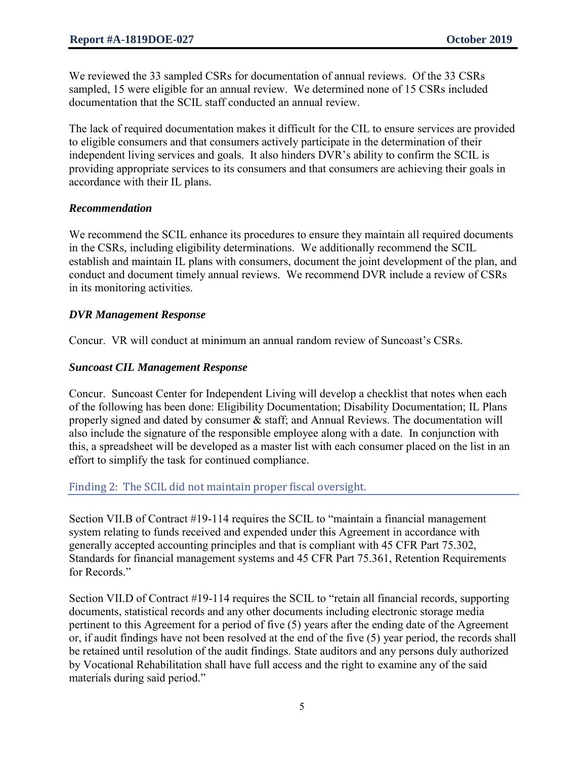We reviewed the 33 sampled CSRs for documentation of annual reviews. Of the 33 CSRs sampled, 15 were eligible for an annual review. We determined none of 15 CSRs included documentation that the SCIL staff conducted an annual review.

The lack of required documentation makes it difficult for the CIL to ensure services are provided to eligible consumers and that consumers actively participate in the determination of their independent living services and goals. It also hinders DVR's ability to confirm the SCIL is providing appropriate services to its consumers and that consumers are achieving their goals in accordance with their IL plans.

### *Recommendation*

We recommend the SCIL enhance its procedures to ensure they maintain all required documents in the CSRs, including eligibility determinations. We additionally recommend the SCIL establish and maintain IL plans with consumers, document the joint development of the plan, and conduct and document timely annual reviews. We recommend DVR include a review of CSRs in its monitoring activities.

#### *DVR Management Response*

Concur. VR will conduct at minimum an annual random review of Suncoast's CSRs.

#### *Suncoast CIL Management Response*

Concur. Suncoast Center for Independent Living will develop a checklist that notes when each of the following has been done: Eligibility Documentation; Disability Documentation; IL Plans properly signed and dated by consumer & staff; and Annual Reviews. The documentation will also include the signature of the responsible employee along with a date. In conjunction with this, a spreadsheet will be developed as a master list with each consumer placed on the list in an effort to simplify the task for continued compliance.

#### Finding 2: The SCIL did not maintain proper fiscal oversight.

Section VII.B of Contract #19-114 requires the SCIL to "maintain a financial management system relating to funds received and expended under this Agreement in accordance with generally accepted accounting principles and that is compliant with 45 CFR Part 75.302, Standards for financial management systems and 45 CFR Part 75.361, Retention Requirements for Records."

Section VII.D of Contract #19-114 requires the SCIL to "retain all financial records, supporting documents, statistical records and any other documents including electronic storage media pertinent to this Agreement for a period of five (5) years after the ending date of the Agreement or, if audit findings have not been resolved at the end of the five (5) year period, the records shall be retained until resolution of the audit findings. State auditors and any persons duly authorized by Vocational Rehabilitation shall have full access and the right to examine any of the said materials during said period."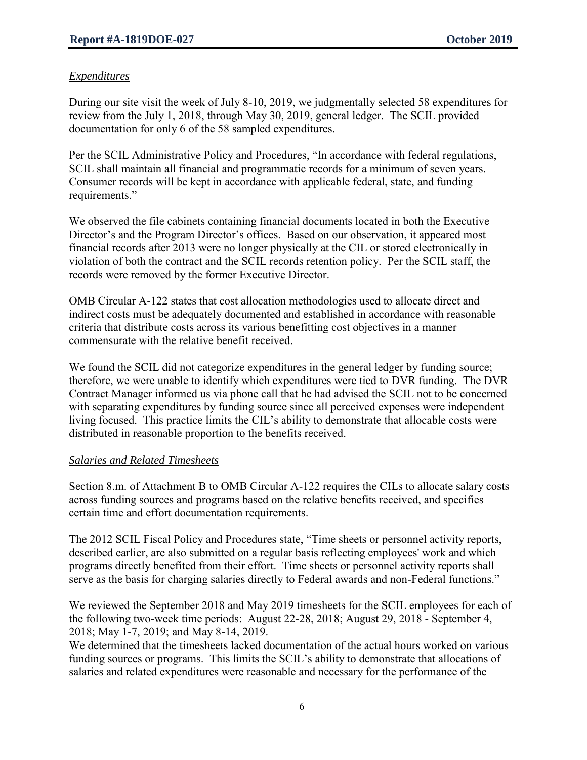## *Expenditures*

During our site visit the week of July 8-10, 2019, we judgmentally selected 58 expenditures for review from the July 1, 2018, through May 30, 2019, general ledger. The SCIL provided documentation for only 6 of the 58 sampled expenditures.

Per the SCIL Administrative Policy and Procedures, "In accordance with federal regulations, SCIL shall maintain all financial and programmatic records for a minimum of seven years. Consumer records will be kept in accordance with applicable federal, state, and funding requirements."

We observed the file cabinets containing financial documents located in both the Executive Director's and the Program Director's offices. Based on our observation, it appeared most financial records after 2013 were no longer physically at the CIL or stored electronically in violation of both the contract and the SCIL records retention policy. Per the SCIL staff, the records were removed by the former Executive Director.

OMB Circular A-122 states that cost allocation methodologies used to allocate direct and indirect costs must be adequately documented and established in accordance with reasonable criteria that distribute costs across its various benefitting cost objectives in a manner commensurate with the relative benefit received.

We found the SCIL did not categorize expenditures in the general ledger by funding source; therefore, we were unable to identify which expenditures were tied to DVR funding. The DVR Contract Manager informed us via phone call that he had advised the SCIL not to be concerned with separating expenditures by funding source since all perceived expenses were independent living focused. This practice limits the CIL's ability to demonstrate that allocable costs were distributed in reasonable proportion to the benefits received.

### *Salaries and Related Timesheets*

Section 8.m. of Attachment B to OMB Circular A-122 requires the CILs to allocate salary costs across funding sources and programs based on the relative benefits received, and specifies certain time and effort documentation requirements.

The 2012 SCIL Fiscal Policy and Procedures state, "Time sheets or personnel activity reports, described earlier, are also submitted on a regular basis reflecting employees' work and which programs directly benefited from their effort. Time sheets or personnel activity reports shall serve as the basis for charging salaries directly to Federal awards and non-Federal functions."

We reviewed the September 2018 and May 2019 timesheets for the SCIL employees for each of the following two-week time periods: August 22-28, 2018; August 29, 2018 - September 4, 2018; May 1-7, 2019; and May 8-14, 2019.

We determined that the timesheets lacked documentation of the actual hours worked on various funding sources or programs. This limits the SCIL's ability to demonstrate that allocations of salaries and related expenditures were reasonable and necessary for the performance of the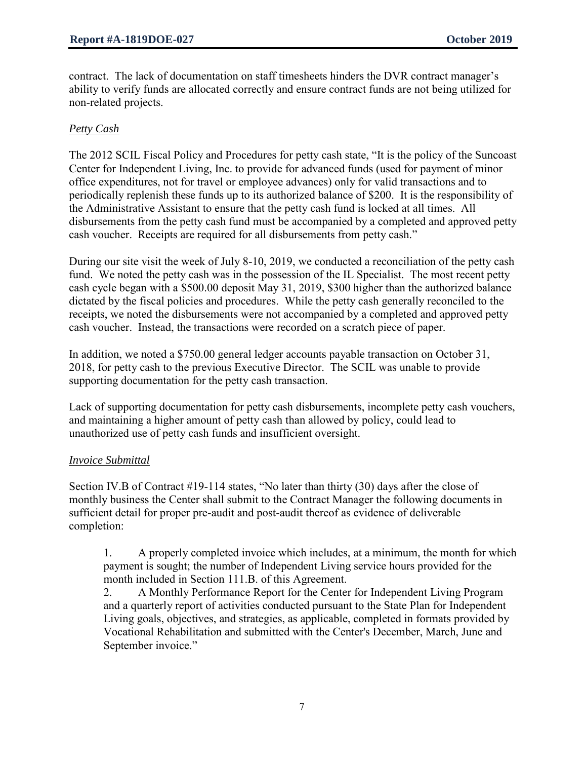contract. The lack of documentation on staff timesheets hinders the DVR contract manager's ability to verify funds are allocated correctly and ensure contract funds are not being utilized for non-related projects.

## *Petty Cash*

The 2012 SCIL Fiscal Policy and Procedures for petty cash state, "It is the policy of the Suncoast Center for Independent Living, Inc. to provide for advanced funds (used for payment of minor office expenditures, not for travel or employee advances) only for valid transactions and to periodically replenish these funds up to its authorized balance of \$200. It is the responsibility of the Administrative Assistant to ensure that the petty cash fund is locked at all times. All disbursements from the petty cash fund must be accompanied by a completed and approved petty cash voucher. Receipts are required for all disbursements from petty cash."

During our site visit the week of July 8-10, 2019, we conducted a reconciliation of the petty cash fund. We noted the petty cash was in the possession of the IL Specialist. The most recent petty cash cycle began with a \$500.00 deposit May 31, 2019, \$300 higher than the authorized balance dictated by the fiscal policies and procedures. While the petty cash generally reconciled to the receipts, we noted the disbursements were not accompanied by a completed and approved petty cash voucher. Instead, the transactions were recorded on a scratch piece of paper.

In addition, we noted a \$750.00 general ledger accounts payable transaction on October 31, 2018, for petty cash to the previous Executive Director. The SCIL was unable to provide supporting documentation for the petty cash transaction.

Lack of supporting documentation for petty cash disbursements, incomplete petty cash vouchers, and maintaining a higher amount of petty cash than allowed by policy, could lead to unauthorized use of petty cash funds and insufficient oversight.

### *Invoice Submittal*

Section IV.B of Contract #19-114 states, "No later than thirty (30) days after the close of monthly business the Center shall submit to the Contract Manager the following documents in sufficient detail for proper pre-audit and post-audit thereof as evidence of deliverable completion:

1. A properly completed invoice which includes, at a minimum, the month for which payment is sought; the number of Independent Living service hours provided for the month included in Section 111.B. of this Agreement.

2. A Monthly Performance Report for the Center for Independent Living Program and a quarterly report of activities conducted pursuant to the State Plan for Independent Living goals, objectives, and strategies, as applicable, completed in formats provided by Vocational Rehabilitation and submitted with the Center's December, March, June and September invoice."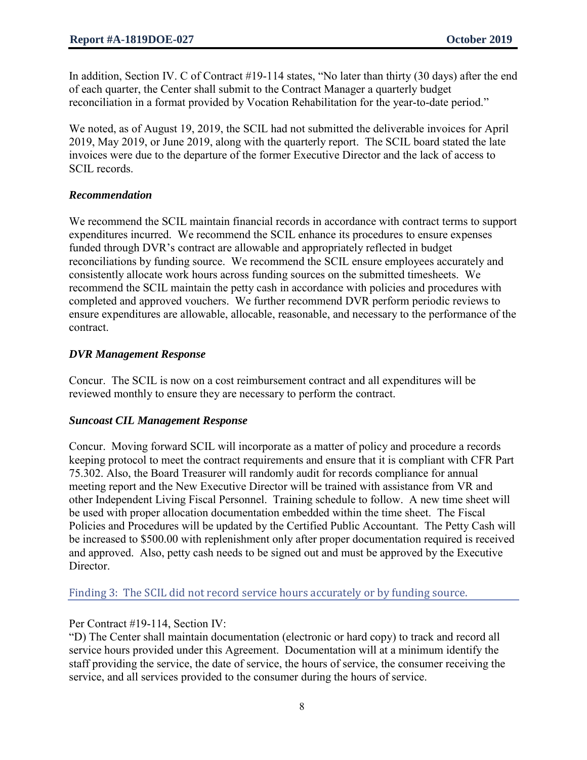In addition, Section IV. C of Contract #19-114 states, "No later than thirty (30 days) after the end of each quarter, the Center shall submit to the Contract Manager a quarterly budget reconciliation in a format provided by Vocation Rehabilitation for the year-to-date period."

We noted, as of August 19, 2019, the SCIL had not submitted the deliverable invoices for April 2019, May 2019, or June 2019, along with the quarterly report. The SCIL board stated the late invoices were due to the departure of the former Executive Director and the lack of access to SCIL records.

### *Recommendation*

We recommend the SCIL maintain financial records in accordance with contract terms to support expenditures incurred. We recommend the SCIL enhance its procedures to ensure expenses funded through DVR's contract are allowable and appropriately reflected in budget reconciliations by funding source. We recommend the SCIL ensure employees accurately and consistently allocate work hours across funding sources on the submitted timesheets. We recommend the SCIL maintain the petty cash in accordance with policies and procedures with completed and approved vouchers. We further recommend DVR perform periodic reviews to ensure expenditures are allowable, allocable, reasonable, and necessary to the performance of the contract.

### *DVR Management Response*

Concur. The SCIL is now on a cost reimbursement contract and all expenditures will be reviewed monthly to ensure they are necessary to perform the contract.

### *Suncoast CIL Management Response*

Concur. Moving forward SCIL will incorporate as a matter of policy and procedure a records keeping protocol to meet the contract requirements and ensure that it is compliant with CFR Part 75.302. Also, the Board Treasurer will randomly audit for records compliance for annual meeting report and the New Executive Director will be trained with assistance from VR and other Independent Living Fiscal Personnel. Training schedule to follow. A new time sheet will be used with proper allocation documentation embedded within the time sheet. The Fiscal Policies and Procedures will be updated by the Certified Public Accountant. The Petty Cash will be increased to \$500.00 with replenishment only after proper documentation required is received and approved. Also, petty cash needs to be signed out and must be approved by the Executive Director.

Finding 3: The SCIL did not record service hours accurately or by funding source.

### Per Contract #19-114, Section IV:

"D) The Center shall maintain documentation (electronic or hard copy) to track and record all service hours provided under this Agreement. Documentation will at a minimum identify the staff providing the service, the date of service, the hours of service, the consumer receiving the service, and all services provided to the consumer during the hours of service.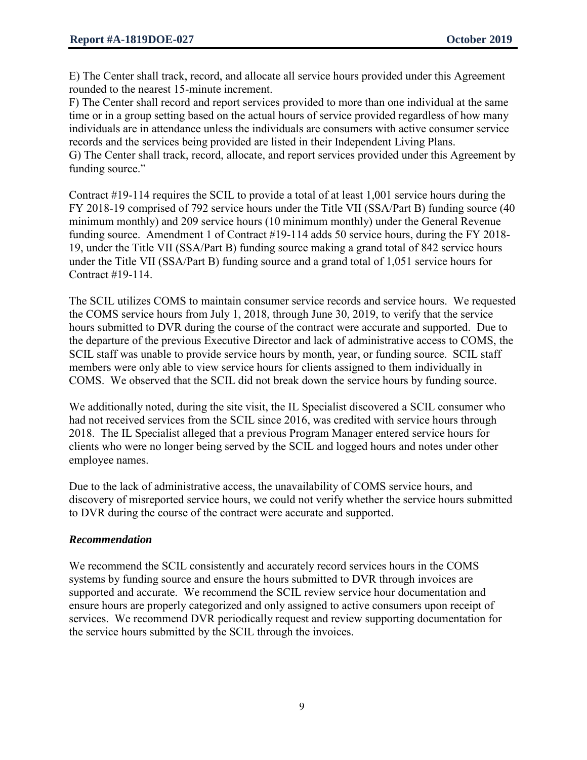E) The Center shall track, record, and allocate all service hours provided under this Agreement rounded to the nearest 15-minute increment.

F) The Center shall record and report services provided to more than one individual at the same time or in a group setting based on the actual hours of service provided regardless of how many individuals are in attendance unless the individuals are consumers with active consumer service records and the services being provided are listed in their Independent Living Plans. G) The Center shall track, record, allocate, and report services provided under this Agreement by funding source."

Contract #19-114 requires the SCIL to provide a total of at least 1,001 service hours during the FY 2018-19 comprised of 792 service hours under the Title VII (SSA/Part B) funding source (40 minimum monthly) and 209 service hours (10 minimum monthly) under the General Revenue funding source. Amendment 1 of Contract #19-114 adds 50 service hours, during the FY 2018- 19, under the Title VII (SSA/Part B) funding source making a grand total of 842 service hours under the Title VII (SSA/Part B) funding source and a grand total of 1,051 service hours for Contract #19-114.

The SCIL utilizes COMS to maintain consumer service records and service hours. We requested the COMS service hours from July 1, 2018, through June 30, 2019, to verify that the service hours submitted to DVR during the course of the contract were accurate and supported. Due to the departure of the previous Executive Director and lack of administrative access to COMS, the SCIL staff was unable to provide service hours by month, year, or funding source. SCIL staff members were only able to view service hours for clients assigned to them individually in COMS. We observed that the SCIL did not break down the service hours by funding source.

We additionally noted, during the site visit, the IL Specialist discovered a SCIL consumer who had not received services from the SCIL since 2016, was credited with service hours through 2018. The IL Specialist alleged that a previous Program Manager entered service hours for clients who were no longer being served by the SCIL and logged hours and notes under other employee names.

Due to the lack of administrative access, the unavailability of COMS service hours, and discovery of misreported service hours, we could not verify whether the service hours submitted to DVR during the course of the contract were accurate and supported.

### *Recommendation*

We recommend the SCIL consistently and accurately record services hours in the COMS systems by funding source and ensure the hours submitted to DVR through invoices are supported and accurate. We recommend the SCIL review service hour documentation and ensure hours are properly categorized and only assigned to active consumers upon receipt of services. We recommend DVR periodically request and review supporting documentation for the service hours submitted by the SCIL through the invoices.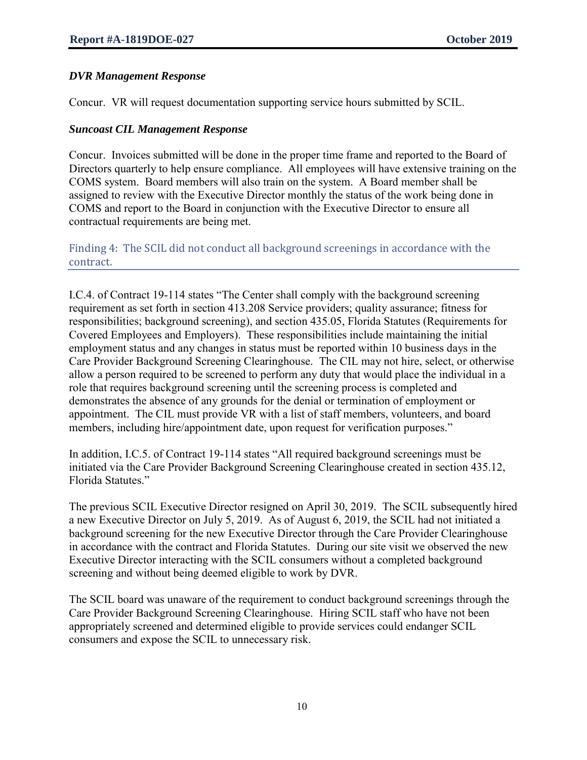### *DVR Management Response*

Concur. VR will request documentation supporting service hours submitted by SCIL.

#### *Suncoast CIL Management Response*

Concur. Invoices submitted will be done in the proper time frame and reported to the Board of Directors quarterly to help ensure compliance. All employees will have extensive training on the COMS system. Board members will also train on the system. A Board member shall be assigned to review with the Executive Director monthly the status of the work being done in COMS and report to the Board in conjunction with the Executive Director to ensure all contractual requirements are being met.

Finding 4: The SCIL did not conduct all background screenings in accordance with the contract.

I.C.4. of Contract 19-114 states "The Center shall comply with the background screening requirement as set forth in section 413.208 Service providers; quality assurance; fitness for responsibilities; background screening), and section 435.05, Florida Statutes (Requirements for Covered Employees and Employers). These responsibilities include maintaining the initial employment status and any changes in status must be reported within 10 business days in the Care Provider Background Screening Clearinghouse. The CIL may not hire, select, or otherwise allow a person required to be screened to perform any duty that would place the individual in a role that requires background screening until the screening process is completed and demonstrates the absence of any grounds for the denial or termination of employment or appointment. The CIL must provide VR with a list of staff members, volunteers, and board members, including hire/appointment date, upon request for verification purposes."

In addition, I.C.5. of Contract 19-114 states "All required background screenings must be initiated via the Care Provider Background Screening Clearinghouse created in section 435.12, Florida Statutes."

The previous SCIL Executive Director resigned on April 30, 2019. The SCIL subsequently hired a new Executive Director on July 5, 2019. As of August 6, 2019, the SCIL had not initiated a background screening for the new Executive Director through the Care Provider Clearinghouse in accordance with the contract and Florida Statutes. During our site visit we observed the new Executive Director interacting with the SCIL consumers without a completed background screening and without being deemed eligible to work by DVR.

The SCIL board was unaware of the requirement to conduct background screenings through the Care Provider Background Screening Clearinghouse. Hiring SCIL staff who have not been appropriately screened and determined eligible to provide services could endanger SCIL consumers and expose the SCIL to unnecessary risk.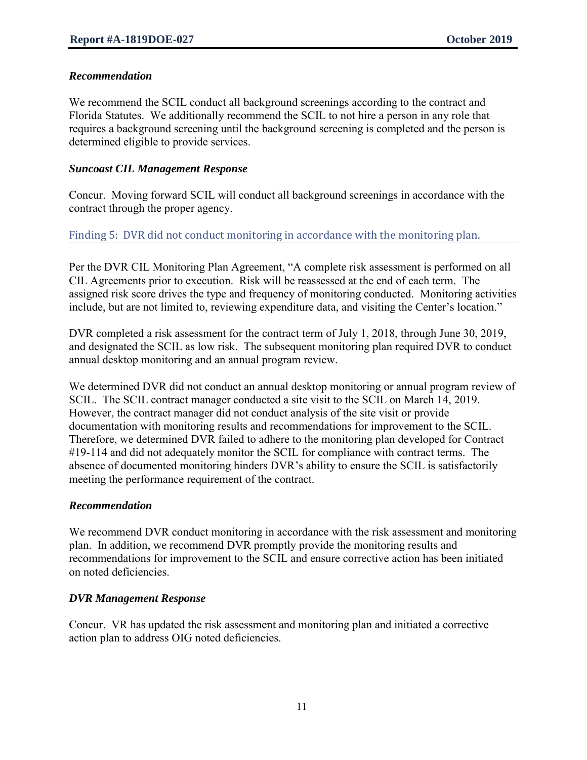## *Recommendation*

We recommend the SCIL conduct all background screenings according to the contract and Florida Statutes. We additionally recommend the SCIL to not hire a person in any role that requires a background screening until the background screening is completed and the person is determined eligible to provide services.

## *Suncoast CIL Management Response*

Concur. Moving forward SCIL will conduct all background screenings in accordance with the contract through the proper agency.

## Finding 5: DVR did not conduct monitoring in accordance with the monitoring plan.

Per the DVR CIL Monitoring Plan Agreement, "A complete risk assessment is performed on all CIL Agreements prior to execution. Risk will be reassessed at the end of each term. The assigned risk score drives the type and frequency of monitoring conducted. Monitoring activities include, but are not limited to, reviewing expenditure data, and visiting the Center's location."

DVR completed a risk assessment for the contract term of July 1, 2018, through June 30, 2019, and designated the SCIL as low risk. The subsequent monitoring plan required DVR to conduct annual desktop monitoring and an annual program review.

We determined DVR did not conduct an annual desktop monitoring or annual program review of SCIL. The SCIL contract manager conducted a site visit to the SCIL on March 14, 2019. However, the contract manager did not conduct analysis of the site visit or provide documentation with monitoring results and recommendations for improvement to the SCIL. Therefore, we determined DVR failed to adhere to the monitoring plan developed for Contract #19-114 and did not adequately monitor the SCIL for compliance with contract terms. The absence of documented monitoring hinders DVR's ability to ensure the SCIL is satisfactorily meeting the performance requirement of the contract.

### *Recommendation*

We recommend DVR conduct monitoring in accordance with the risk assessment and monitoring plan. In addition, we recommend DVR promptly provide the monitoring results and recommendations for improvement to the SCIL and ensure corrective action has been initiated on noted deficiencies.

### *DVR Management Response*

Concur. VR has updated the risk assessment and monitoring plan and initiated a corrective action plan to address OIG noted deficiencies.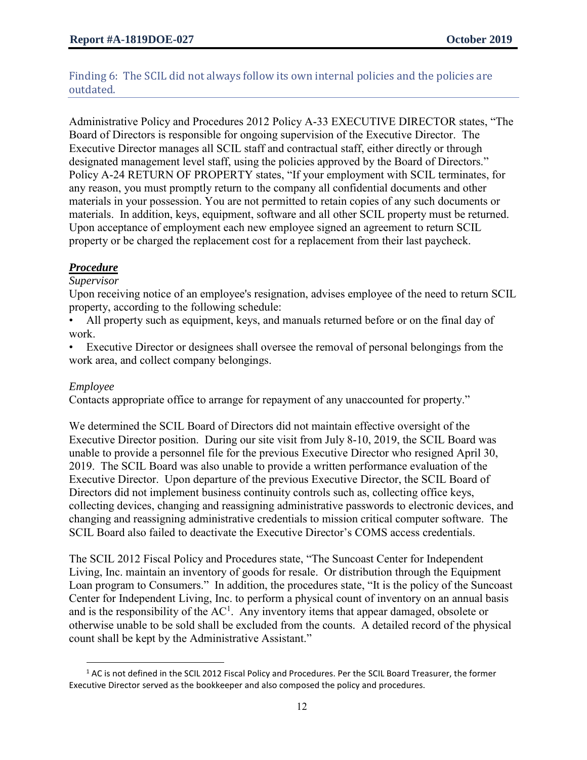## Finding 6: The SCIL did not always follow its own internal policies and the policies are outdated.

Administrative Policy and Procedures 2012 Policy A-33 EXECUTIVE DIRECTOR states, "The Board of Directors is responsible for ongoing supervision of the Executive Director. The Executive Director manages all SCIL staff and contractual staff, either directly or through designated management level staff, using the policies approved by the Board of Directors." Policy A-24 RETURN OF PROPERTY states, "If your employment with SCIL terminates, for any reason, you must promptly return to the company all confidential documents and other materials in your possession. You are not permitted to retain copies of any such documents or materials. In addition, keys, equipment, software and all other SCIL property must be returned. Upon acceptance of employment each new employee signed an agreement to return SCIL property or be charged the replacement cost for a replacement from their last paycheck.

## *Procedure*

### *Supervisor*

Upon receiving notice of an employee's resignation, advises employee of the need to return SCIL property, according to the following schedule:

All property such as equipment, keys, and manuals returned before or on the final day of work.

Executive Director or designees shall oversee the removal of personal belongings from the work area, and collect company belongings.

#### *Employee*

 $\overline{\phantom{a}}$ 

Contacts appropriate office to arrange for repayment of any unaccounted for property."

We determined the SCIL Board of Directors did not maintain effective oversight of the Executive Director position. During our site visit from July 8-10, 2019, the SCIL Board was unable to provide a personnel file for the previous Executive Director who resigned April 30, 2019. The SCIL Board was also unable to provide a written performance evaluation of the Executive Director. Upon departure of the previous Executive Director, the SCIL Board of Directors did not implement business continuity controls such as, collecting office keys, collecting devices, changing and reassigning administrative passwords to electronic devices, and changing and reassigning administrative credentials to mission critical computer software. The SCIL Board also failed to deactivate the Executive Director's COMS access credentials.

The SCIL 2012 Fiscal Policy and Procedures state, "The Suncoast Center for Independent Living, Inc. maintain an inventory of goods for resale. Or distribution through the Equipment Loan program to Consumers." In addition, the procedures state, "It is the policy of the Suncoast Center for Independent Living, Inc. to perform a physical count of inventory on an annual basis and is the responsibility of the  $AC^1$ . Any inventory items that appear damaged, obsolete or otherwise unable to be sold shall be excluded from the counts. A detailed record of the physical count shall be kept by the Administrative Assistant."

 $1$  AC is not defined in the SCIL 2012 Fiscal Policy and Procedures. Per the SCIL Board Treasurer, the former Executive Director served as the bookkeeper and also composed the policy and procedures.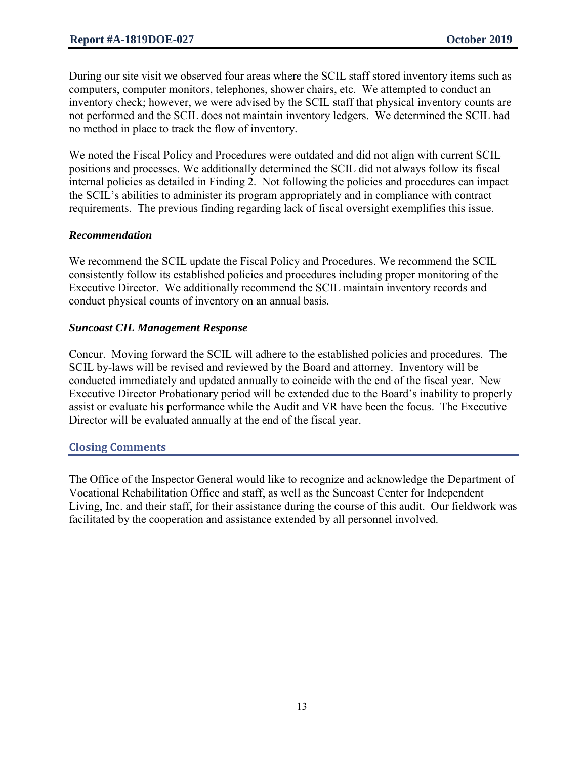During our site visit we observed four areas where the SCIL staff stored inventory items such as computers, computer monitors, telephones, shower chairs, etc. We attempted to conduct an inventory check; however, we were advised by the SCIL staff that physical inventory counts are not performed and the SCIL does not maintain inventory ledgers. We determined the SCIL had no method in place to track the flow of inventory.

We noted the Fiscal Policy and Procedures were outdated and did not align with current SCIL positions and processes. We additionally determined the SCIL did not always follow its fiscal internal policies as detailed in Finding 2. Not following the policies and procedures can impact the SCIL's abilities to administer its program appropriately and in compliance with contract requirements. The previous finding regarding lack of fiscal oversight exemplifies this issue.

#### *Recommendation*

We recommend the SCIL update the Fiscal Policy and Procedures. We recommend the SCIL consistently follow its established policies and procedures including proper monitoring of the Executive Director. We additionally recommend the SCIL maintain inventory records and conduct physical counts of inventory on an annual basis.

#### *Suncoast CIL Management Response*

Concur. Moving forward the SCIL will adhere to the established policies and procedures. The SCIL by-laws will be revised and reviewed by the Board and attorney. Inventory will be conducted immediately and updated annually to coincide with the end of the fiscal year. New Executive Director Probationary period will be extended due to the Board's inability to properly assist or evaluate his performance while the Audit and VR have been the focus. The Executive Director will be evaluated annually at the end of the fiscal year.

#### **Closing Comments**

The Office of the Inspector General would like to recognize and acknowledge the Department of Vocational Rehabilitation Office and staff, as well as the Suncoast Center for Independent Living, Inc. and their staff, for their assistance during the course of this audit. Our fieldwork was facilitated by the cooperation and assistance extended by all personnel involved.